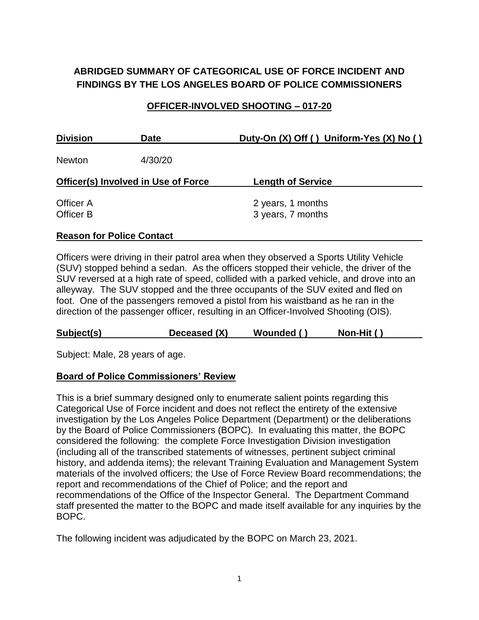# **ABRIDGED SUMMARY OF CATEGORICAL USE OF FORCE INCIDENT AND FINDINGS BY THE LOS ANGELES BOARD OF POLICE COMMISSIONERS**

#### **OFFICER-INVOLVED SHOOTING – 017-20**

| <b>Division</b><br><b>Date</b>             |  | Duty-On (X) Off () Uniform-Yes (X) No () |  |  |
|--------------------------------------------|--|------------------------------------------|--|--|
| 4/30/20<br><b>Newton</b>                   |  |                                          |  |  |
| <b>Officer(s) Involved in Use of Force</b> |  | <b>Length of Service</b>                 |  |  |
| Officer A<br>Officer B                     |  | 2 years, 1 months<br>3 years, 7 months   |  |  |

#### **Reason for Police Contact**

Officers were driving in their patrol area when they observed a Sports Utility Vehicle (SUV) stopped behind a sedan. As the officers stopped their vehicle, the driver of the SUV reversed at a high rate of speed, collided with a parked vehicle, and drove into an alleyway. The SUV stopped and the three occupants of the SUV exited and fled on foot. One of the passengers removed a pistol from his waistband as he ran in the direction of the passenger officer, resulting in an Officer-Involved Shooting (OIS).

| Deceased (X)<br>Subject(s)<br>Wounded ()<br>Non-Hit $()$ |  |
|----------------------------------------------------------|--|
|----------------------------------------------------------|--|

Subject: Male, 28 years of age.

#### **Board of Police Commissioners' Review**

This is a brief summary designed only to enumerate salient points regarding this Categorical Use of Force incident and does not reflect the entirety of the extensive investigation by the Los Angeles Police Department (Department) or the deliberations by the Board of Police Commissioners (BOPC). In evaluating this matter, the BOPC considered the following: the complete Force Investigation Division investigation (including all of the transcribed statements of witnesses, pertinent subject criminal history, and addenda items); the relevant Training Evaluation and Management System materials of the involved officers; the Use of Force Review Board recommendations; the report and recommendations of the Chief of Police; and the report and recommendations of the Office of the Inspector General. The Department Command staff presented the matter to the BOPC and made itself available for any inquiries by the BOPC.

The following incident was adjudicated by the BOPC on March 23, 2021.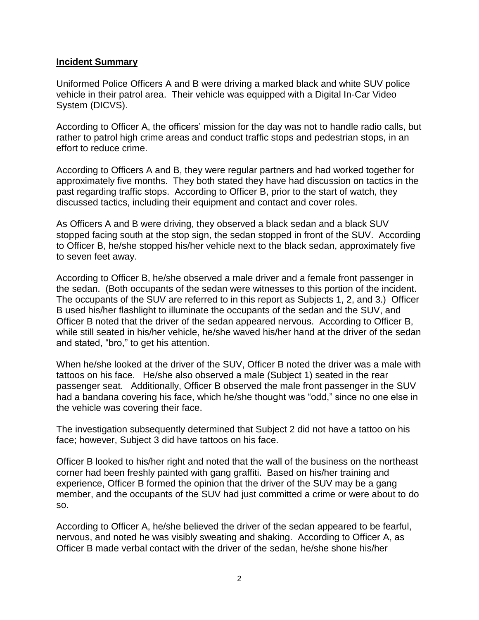#### **Incident Summary**

Uniformed Police Officers A and B were driving a marked black and white SUV police vehicle in their patrol area. Their vehicle was equipped with a Digital In-Car Video System (DICVS).

According to Officer A, the officers' mission for the day was not to handle radio calls, but rather to patrol high crime areas and conduct traffic stops and pedestrian stops, in an effort to reduce crime.

According to Officers A and B, they were regular partners and had worked together for approximately five months. They both stated they have had discussion on tactics in the past regarding traffic stops. According to Officer B, prior to the start of watch, they discussed tactics, including their equipment and contact and cover roles.

As Officers A and B were driving, they observed a black sedan and a black SUV stopped facing south at the stop sign, the sedan stopped in front of the SUV. According to Officer B, he/she stopped his/her vehicle next to the black sedan, approximately five to seven feet away.

According to Officer B, he/she observed a male driver and a female front passenger in the sedan. (Both occupants of the sedan were witnesses to this portion of the incident. The occupants of the SUV are referred to in this report as Subjects 1, 2, and 3.) Officer B used his/her flashlight to illuminate the occupants of the sedan and the SUV, and Officer B noted that the driver of the sedan appeared nervous. According to Officer B, while still seated in his/her vehicle, he/she waved his/her hand at the driver of the sedan and stated, "bro," to get his attention.

When he/she looked at the driver of the SUV, Officer B noted the driver was a male with tattoos on his face. He/she also observed a male (Subject 1) seated in the rear passenger seat. Additionally, Officer B observed the male front passenger in the SUV had a bandana covering his face, which he/she thought was "odd," since no one else in the vehicle was covering their face.

The investigation subsequently determined that Subject 2 did not have a tattoo on his face; however, Subject 3 did have tattoos on his face.

Officer B looked to his/her right and noted that the wall of the business on the northeast corner had been freshly painted with gang graffiti. Based on his/her training and experience, Officer B formed the opinion that the driver of the SUV may be a gang member, and the occupants of the SUV had just committed a crime or were about to do so.

According to Officer A, he/she believed the driver of the sedan appeared to be fearful, nervous, and noted he was visibly sweating and shaking. According to Officer A, as Officer B made verbal contact with the driver of the sedan, he/she shone his/her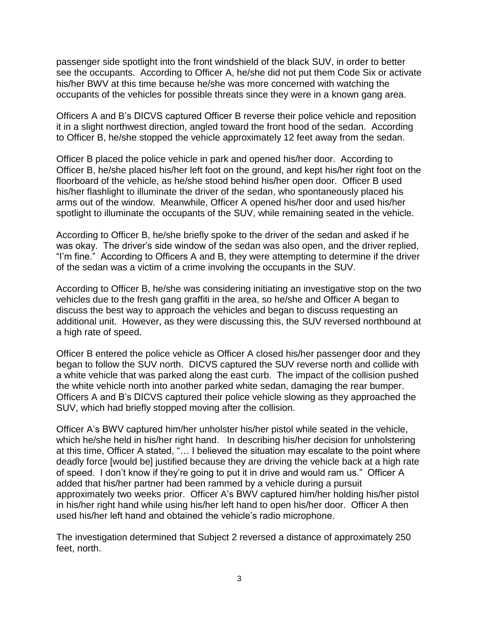passenger side spotlight into the front windshield of the black SUV, in order to better see the occupants. According to Officer A, he/she did not put them Code Six or activate his/her BWV at this time because he/she was more concerned with watching the occupants of the vehicles for possible threats since they were in a known gang area.

Officers A and B's DICVS captured Officer B reverse their police vehicle and reposition it in a slight northwest direction, angled toward the front hood of the sedan. According to Officer B, he/she stopped the vehicle approximately 12 feet away from the sedan.

Officer B placed the police vehicle in park and opened his/her door. According to Officer B, he/she placed his/her left foot on the ground, and kept his/her right foot on the floorboard of the vehicle, as he/she stood behind his/her open door. Officer B used his/her flashlight to illuminate the driver of the sedan, who spontaneously placed his arms out of the window. Meanwhile, Officer A opened his/her door and used his/her spotlight to illuminate the occupants of the SUV, while remaining seated in the vehicle.

According to Officer B, he/she briefly spoke to the driver of the sedan and asked if he was okay. The driver's side window of the sedan was also open, and the driver replied, "I'm fine." According to Officers A and B, they were attempting to determine if the driver of the sedan was a victim of a crime involving the occupants in the SUV.

According to Officer B, he/she was considering initiating an investigative stop on the two vehicles due to the fresh gang graffiti in the area, so he/she and Officer A began to discuss the best way to approach the vehicles and began to discuss requesting an additional unit. However, as they were discussing this, the SUV reversed northbound at a high rate of speed.

Officer B entered the police vehicle as Officer A closed his/her passenger door and they began to follow the SUV north. DICVS captured the SUV reverse north and collide with a white vehicle that was parked along the east curb. The impact of the collision pushed the white vehicle north into another parked white sedan, damaging the rear bumper. Officers A and B's DICVS captured their police vehicle slowing as they approached the SUV, which had briefly stopped moving after the collision.

Officer A's BWV captured him/her unholster his/her pistol while seated in the vehicle, which he/she held in his/her right hand. In describing his/her decision for unholstering at this time, Officer A stated, "… I believed the situation may escalate to the point where deadly force [would be] justified because they are driving the vehicle back at a high rate of speed. I don't know if they're going to put it in drive and would ram us." Officer A added that his/her partner had been rammed by a vehicle during a pursuit approximately two weeks prior. Officer A's BWV captured him/her holding his/her pistol in his/her right hand while using his/her left hand to open his/her door. Officer A then used his/her left hand and obtained the vehicle's radio microphone.

The investigation determined that Subject 2 reversed a distance of approximately 250 feet, north.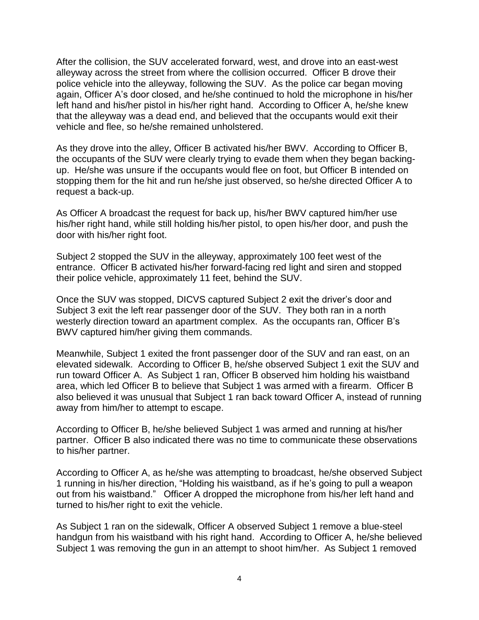After the collision, the SUV accelerated forward, west, and drove into an east-west alleyway across the street from where the collision occurred. Officer B drove their police vehicle into the alleyway, following the SUV. As the police car began moving again, Officer A's door closed, and he/she continued to hold the microphone in his/her left hand and his/her pistol in his/her right hand. According to Officer A, he/she knew that the alleyway was a dead end, and believed that the occupants would exit their vehicle and flee, so he/she remained unholstered.

As they drove into the alley, Officer B activated his/her BWV. According to Officer B, the occupants of the SUV were clearly trying to evade them when they began backingup. He/she was unsure if the occupants would flee on foot, but Officer B intended on stopping them for the hit and run he/she just observed, so he/she directed Officer A to request a back-up.

As Officer A broadcast the request for back up, his/her BWV captured him/her use his/her right hand, while still holding his/her pistol, to open his/her door, and push the door with his/her right foot.

Subject 2 stopped the SUV in the alleyway, approximately 100 feet west of the entrance. Officer B activated his/her forward-facing red light and siren and stopped their police vehicle, approximately 11 feet, behind the SUV.

Once the SUV was stopped, DICVS captured Subject 2 exit the driver's door and Subject 3 exit the left rear passenger door of the SUV. They both ran in a north westerly direction toward an apartment complex. As the occupants ran, Officer B's BWV captured him/her giving them commands.

Meanwhile, Subject 1 exited the front passenger door of the SUV and ran east, on an elevated sidewalk. According to Officer B, he/she observed Subject 1 exit the SUV and run toward Officer A. As Subject 1 ran, Officer B observed him holding his waistband area, which led Officer B to believe that Subject 1 was armed with a firearm. Officer B also believed it was unusual that Subject 1 ran back toward Officer A, instead of running away from him/her to attempt to escape.

According to Officer B, he/she believed Subject 1 was armed and running at his/her partner. Officer B also indicated there was no time to communicate these observations to his/her partner.

According to Officer A, as he/she was attempting to broadcast, he/she observed Subject 1 running in his/her direction, "Holding his waistband, as if he's going to pull a weapon out from his waistband." Officer A dropped the microphone from his/her left hand and turned to his/her right to exit the vehicle.

As Subject 1 ran on the sidewalk, Officer A observed Subject 1 remove a blue-steel handgun from his waistband with his right hand. According to Officer A, he/she believed Subject 1 was removing the gun in an attempt to shoot him/her. As Subject 1 removed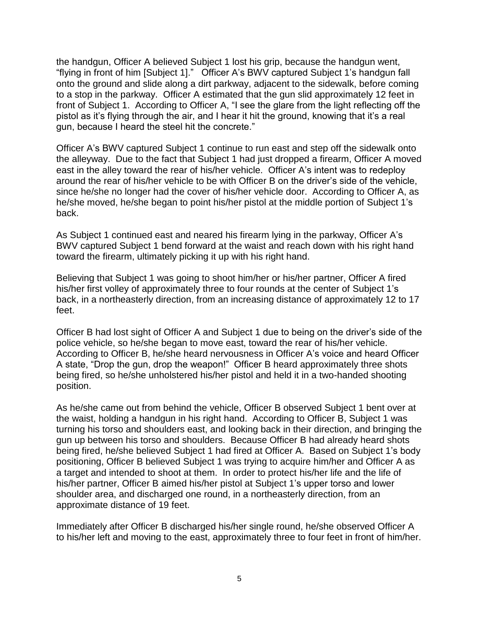the handgun, Officer A believed Subject 1 lost his grip, because the handgun went, "flying in front of him [Subject 1]." Officer A's BWV captured Subject 1's handgun fall onto the ground and slide along a dirt parkway, adjacent to the sidewalk, before coming to a stop in the parkway. Officer A estimated that the gun slid approximately 12 feet in front of Subject 1. According to Officer A, "I see the glare from the light reflecting off the pistol as it's flying through the air, and I hear it hit the ground, knowing that it's a real gun, because I heard the steel hit the concrete."

Officer A's BWV captured Subject 1 continue to run east and step off the sidewalk onto the alleyway. Due to the fact that Subject 1 had just dropped a firearm, Officer A moved east in the alley toward the rear of his/her vehicle. Officer A's intent was to redeploy around the rear of his/her vehicle to be with Officer B on the driver's side of the vehicle, since he/she no longer had the cover of his/her vehicle door. According to Officer A, as he/she moved, he/she began to point his/her pistol at the middle portion of Subject 1's back.

As Subject 1 continued east and neared his firearm lying in the parkway, Officer A's BWV captured Subject 1 bend forward at the waist and reach down with his right hand toward the firearm, ultimately picking it up with his right hand.

Believing that Subject 1 was going to shoot him/her or his/her partner, Officer A fired his/her first volley of approximately three to four rounds at the center of Subject 1's back, in a northeasterly direction, from an increasing distance of approximately 12 to 17 feet.

Officer B had lost sight of Officer A and Subject 1 due to being on the driver's side of the police vehicle, so he/she began to move east, toward the rear of his/her vehicle. According to Officer B, he/she heard nervousness in Officer A's voice and heard Officer A state, "Drop the gun, drop the weapon!" Officer B heard approximately three shots being fired, so he/she unholstered his/her pistol and held it in a two-handed shooting position.

As he/she came out from behind the vehicle, Officer B observed Subject 1 bent over at the waist, holding a handgun in his right hand. According to Officer B, Subject 1 was turning his torso and shoulders east, and looking back in their direction, and bringing the gun up between his torso and shoulders. Because Officer B had already heard shots being fired, he/she believed Subject 1 had fired at Officer A. Based on Subject 1's body positioning, Officer B believed Subject 1 was trying to acquire him/her and Officer A as a target and intended to shoot at them. In order to protect his/her life and the life of his/her partner, Officer B aimed his/her pistol at Subject 1's upper torso and lower shoulder area, and discharged one round, in a northeasterly direction, from an approximate distance of 19 feet.

Immediately after Officer B discharged his/her single round, he/she observed Officer A to his/her left and moving to the east, approximately three to four feet in front of him/her.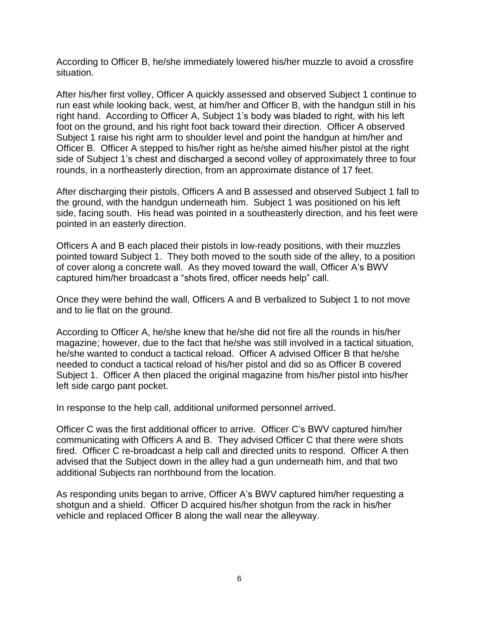According to Officer B, he/she immediately lowered his/her muzzle to avoid a crossfire situation.

After his/her first volley, Officer A quickly assessed and observed Subject 1 continue to run east while looking back, west, at him/her and Officer B, with the handgun still in his right hand. According to Officer A, Subject 1's body was bladed to right, with his left foot on the ground, and his right foot back toward their direction. Officer A observed Subject 1 raise his right arm to shoulder level and point the handgun at him/her and Officer B. Officer A stepped to his/her right as he/she aimed his/her pistol at the right side of Subject 1's chest and discharged a second volley of approximately three to four rounds, in a northeasterly direction, from an approximate distance of 17 feet.

After discharging their pistols, Officers A and B assessed and observed Subject 1 fall to the ground, with the handgun underneath him. Subject 1 was positioned on his left side, facing south. His head was pointed in a southeasterly direction, and his feet were pointed in an easterly direction.

Officers A and B each placed their pistols in low-ready positions, with their muzzles pointed toward Subject 1. They both moved to the south side of the alley, to a position of cover along a concrete wall. As they moved toward the wall, Officer A's BWV captured him/her broadcast a "shots fired, officer needs help" call.

Once they were behind the wall, Officers A and B verbalized to Subject 1 to not move and to lie flat on the ground.

According to Officer A, he/she knew that he/she did not fire all the rounds in his/her magazine; however, due to the fact that he/she was still involved in a tactical situation, he/she wanted to conduct a tactical reload. Officer A advised Officer B that he/she needed to conduct a tactical reload of his/her pistol and did so as Officer B covered Subject 1. Officer A then placed the original magazine from his/her pistol into his/her left side cargo pant pocket.

In response to the help call, additional uniformed personnel arrived.

Officer C was the first additional officer to arrive. Officer C's BWV captured him/her communicating with Officers A and B. They advised Officer C that there were shots fired. Officer C re-broadcast a help call and directed units to respond. Officer A then advised that the Subject down in the alley had a gun underneath him, and that two additional Subjects ran northbound from the location.

As responding units began to arrive, Officer A's BWV captured him/her requesting a shotgun and a shield. Officer D acquired his/her shotgun from the rack in his/her vehicle and replaced Officer B along the wall near the alleyway.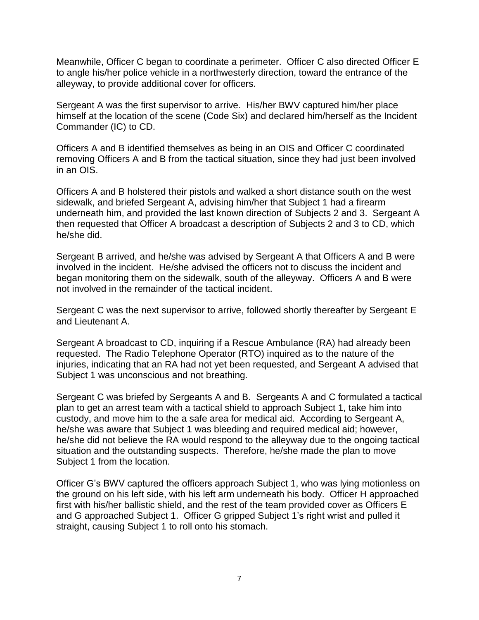Meanwhile, Officer C began to coordinate a perimeter. Officer C also directed Officer E to angle his/her police vehicle in a northwesterly direction, toward the entrance of the alleyway, to provide additional cover for officers.

Sergeant A was the first supervisor to arrive. His/her BWV captured him/her place himself at the location of the scene (Code Six) and declared him/herself as the Incident Commander (IC) to CD.

Officers A and B identified themselves as being in an OIS and Officer C coordinated removing Officers A and B from the tactical situation, since they had just been involved in an OIS.

Officers A and B holstered their pistols and walked a short distance south on the west sidewalk, and briefed Sergeant A, advising him/her that Subject 1 had a firearm underneath him, and provided the last known direction of Subjects 2 and 3. Sergeant A then requested that Officer A broadcast a description of Subjects 2 and 3 to CD, which he/she did.

Sergeant B arrived, and he/she was advised by Sergeant A that Officers A and B were involved in the incident. He/she advised the officers not to discuss the incident and began monitoring them on the sidewalk, south of the alleyway. Officers A and B were not involved in the remainder of the tactical incident.

Sergeant C was the next supervisor to arrive, followed shortly thereafter by Sergeant E and Lieutenant A.

Sergeant A broadcast to CD, inquiring if a Rescue Ambulance (RA) had already been requested. The Radio Telephone Operator (RTO) inquired as to the nature of the injuries, indicating that an RA had not yet been requested, and Sergeant A advised that Subject 1 was unconscious and not breathing.

Sergeant C was briefed by Sergeants A and B. Sergeants A and C formulated a tactical plan to get an arrest team with a tactical shield to approach Subject 1, take him into custody, and move him to the a safe area for medical aid. According to Sergeant A, he/she was aware that Subject 1 was bleeding and required medical aid; however, he/she did not believe the RA would respond to the alleyway due to the ongoing tactical situation and the outstanding suspects. Therefore, he/she made the plan to move Subject 1 from the location.

Officer G's BWV captured the officers approach Subject 1, who was lying motionless on the ground on his left side, with his left arm underneath his body. Officer H approached first with his/her ballistic shield, and the rest of the team provided cover as Officers E and G approached Subject 1. Officer G gripped Subject 1's right wrist and pulled it straight, causing Subject 1 to roll onto his stomach.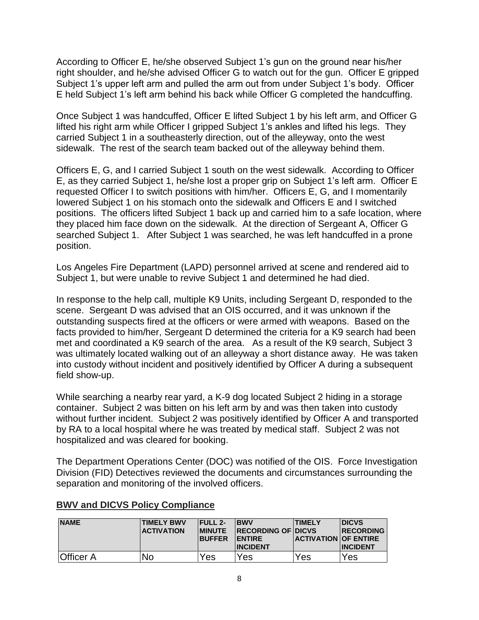According to Officer E, he/she observed Subject 1's gun on the ground near his/her right shoulder, and he/she advised Officer G to watch out for the gun. Officer E gripped Subject 1's upper left arm and pulled the arm out from under Subject 1's body. Officer E held Subject 1's left arm behind his back while Officer G completed the handcuffing.

Once Subject 1 was handcuffed, Officer E lifted Subject 1 by his left arm, and Officer G lifted his right arm while Officer I gripped Subject 1's ankles and lifted his legs. They carried Subject 1 in a southeasterly direction, out of the alleyway, onto the west sidewalk. The rest of the search team backed out of the alleyway behind them.

Officers E, G, and I carried Subject 1 south on the west sidewalk. According to Officer E, as they carried Subject 1, he/she lost a proper grip on Subject 1's left arm. Officer E requested Officer I to switch positions with him/her. Officers E, G, and I momentarily lowered Subject 1 on his stomach onto the sidewalk and Officers E and I switched positions. The officers lifted Subject 1 back up and carried him to a safe location, where they placed him face down on the sidewalk. At the direction of Sergeant A, Officer G searched Subject 1. After Subject 1 was searched, he was left handcuffed in a prone position.

Los Angeles Fire Department (LAPD) personnel arrived at scene and rendered aid to Subject 1, but were unable to revive Subject 1 and determined he had died.

In response to the help call, multiple K9 Units, including Sergeant D, responded to the scene. Sergeant D was advised that an OIS occurred, and it was unknown if the outstanding suspects fired at the officers or were armed with weapons. Based on the facts provided to him/her, Sergeant D determined the criteria for a K9 search had been met and coordinated a K9 search of the area. As a result of the K9 search, Subject 3 was ultimately located walking out of an alleyway a short distance away. He was taken into custody without incident and positively identified by Officer A during a subsequent field show-up.

While searching a nearby rear yard, a K-9 dog located Subject 2 hiding in a storage container. Subject 2 was bitten on his left arm by and was then taken into custody without further incident. Subject 2 was positively identified by Officer A and transported by RA to a local hospital where he was treated by medical staff. Subject 2 was not hospitalized and was cleared for booking.

The Department Operations Center (DOC) was notified of the OIS. Force Investigation Division (FID) Detectives reviewed the documents and circumstances surrounding the separation and monitoring of the involved officers.

| <b>NAME</b>      | <b>TIMELY BWV</b><br><b>ACTIVATION</b> | <b>IFULL 2-</b><br><b>BUFFER</b> | <b>IBWV</b><br><b>IMINUTE RECORDING OF DICVS</b><br><b>IENTIRE</b><br><b>INCIDENT</b> | <b>ITIMELY</b><br><b>ACTIVATION OF ENTIRE</b> | <b>IDICVS</b><br><b>IRECORDING</b><br><b>INCIDENT</b> |
|------------------|----------------------------------------|----------------------------------|---------------------------------------------------------------------------------------|-----------------------------------------------|-------------------------------------------------------|
| <b>Officer A</b> | No                                     | Yes                              | Yes                                                                                   | Yes                                           | Yes                                                   |

# **BWV and DICVS Policy Compliance**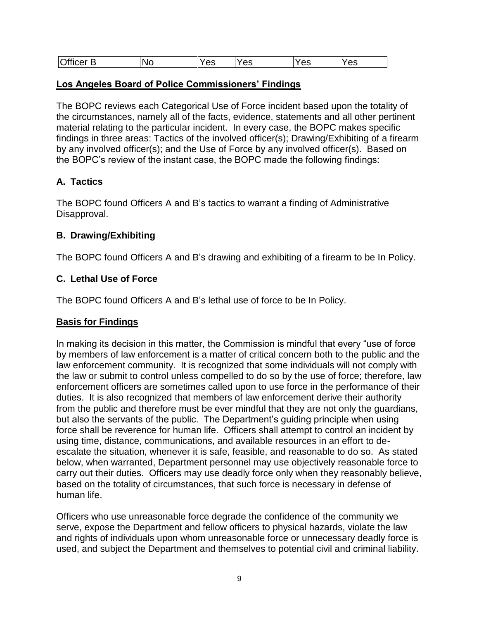| O <sup>f</sup><br>$ -$<br><b>NC</b><br>ឹ<br>Λc<br><br>ے م<br>$\equiv$<br>_<br>. с<br>vc<br>ັບ<br>co<br>vü |  |
|-----------------------------------------------------------------------------------------------------------|--|
|-----------------------------------------------------------------------------------------------------------|--|

#### **Los Angeles Board of Police Commissioners' Findings**

The BOPC reviews each Categorical Use of Force incident based upon the totality of the circumstances, namely all of the facts, evidence, statements and all other pertinent material relating to the particular incident. In every case, the BOPC makes specific findings in three areas: Tactics of the involved officer(s); Drawing/Exhibiting of a firearm by any involved officer(s); and the Use of Force by any involved officer(s). Based on the BOPC's review of the instant case, the BOPC made the following findings:

# **A. Tactics**

The BOPC found Officers A and B's tactics to warrant a finding of Administrative Disapproval.

#### **B. Drawing/Exhibiting**

The BOPC found Officers A and B's drawing and exhibiting of a firearm to be In Policy.

# **C. Lethal Use of Force**

The BOPC found Officers A and B's lethal use of force to be In Policy.

# **Basis for Findings**

In making its decision in this matter, the Commission is mindful that every "use of force by members of law enforcement is a matter of critical concern both to the public and the law enforcement community. It is recognized that some individuals will not comply with the law or submit to control unless compelled to do so by the use of force; therefore, law enforcement officers are sometimes called upon to use force in the performance of their duties. It is also recognized that members of law enforcement derive their authority from the public and therefore must be ever mindful that they are not only the guardians, but also the servants of the public. The Department's guiding principle when using force shall be reverence for human life. Officers shall attempt to control an incident by using time, distance, communications, and available resources in an effort to deescalate the situation, whenever it is safe, feasible, and reasonable to do so. As stated below, when warranted, Department personnel may use objectively reasonable force to carry out their duties. Officers may use deadly force only when they reasonably believe, based on the totality of circumstances, that such force is necessary in defense of human life.

Officers who use unreasonable force degrade the confidence of the community we serve, expose the Department and fellow officers to physical hazards, violate the law and rights of individuals upon whom unreasonable force or unnecessary deadly force is used, and subject the Department and themselves to potential civil and criminal liability.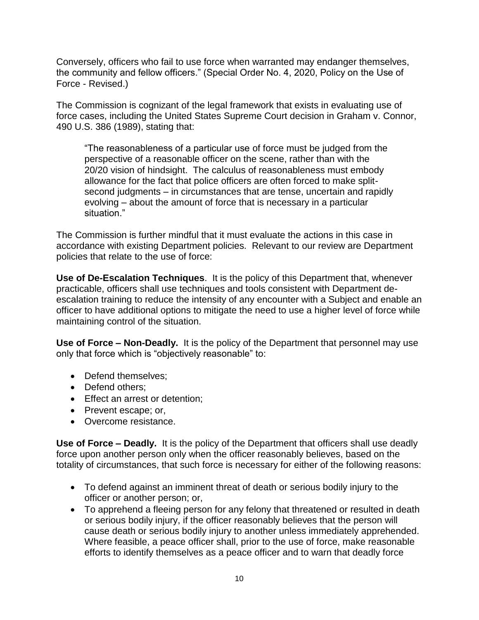Conversely, officers who fail to use force when warranted may endanger themselves, the community and fellow officers." (Special Order No. 4, 2020, Policy on the Use of Force - Revised.)

The Commission is cognizant of the legal framework that exists in evaluating use of force cases, including the United States Supreme Court decision in Graham v. Connor, 490 U.S. 386 (1989), stating that:

"The reasonableness of a particular use of force must be judged from the perspective of a reasonable officer on the scene, rather than with the 20/20 vision of hindsight. The calculus of reasonableness must embody allowance for the fact that police officers are often forced to make splitsecond judgments – in circumstances that are tense, uncertain and rapidly evolving – about the amount of force that is necessary in a particular situation."

The Commission is further mindful that it must evaluate the actions in this case in accordance with existing Department policies. Relevant to our review are Department policies that relate to the use of force:

**Use of De-Escalation Techniques**. It is the policy of this Department that, whenever practicable, officers shall use techniques and tools consistent with Department deescalation training to reduce the intensity of any encounter with a Subject and enable an officer to have additional options to mitigate the need to use a higher level of force while maintaining control of the situation.

**Use of Force – Non-Deadly.** It is the policy of the Department that personnel may use only that force which is "objectively reasonable" to:

- Defend themselves;
- Defend others:
- Effect an arrest or detention;
- Prevent escape; or,
- Overcome resistance.

**Use of Force – Deadly.** It is the policy of the Department that officers shall use deadly force upon another person only when the officer reasonably believes, based on the totality of circumstances, that such force is necessary for either of the following reasons:

- To defend against an imminent threat of death or serious bodily injury to the officer or another person; or,
- To apprehend a fleeing person for any felony that threatened or resulted in death or serious bodily injury, if the officer reasonably believes that the person will cause death or serious bodily injury to another unless immediately apprehended. Where feasible, a peace officer shall, prior to the use of force, make reasonable efforts to identify themselves as a peace officer and to warn that deadly force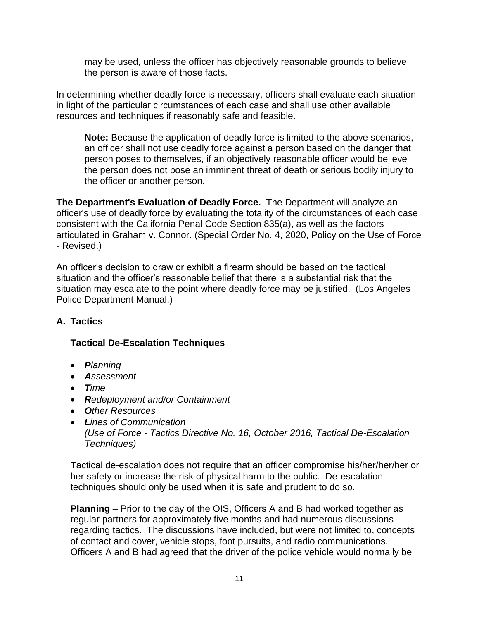may be used, unless the officer has objectively reasonable grounds to believe the person is aware of those facts.

In determining whether deadly force is necessary, officers shall evaluate each situation in light of the particular circumstances of each case and shall use other available resources and techniques if reasonably safe and feasible.

**Note:** Because the application of deadly force is limited to the above scenarios, an officer shall not use deadly force against a person based on the danger that person poses to themselves, if an objectively reasonable officer would believe the person does not pose an imminent threat of death or serious bodily injury to the officer or another person.

**The Department's Evaluation of Deadly Force.** The Department will analyze an officer's use of deadly force by evaluating the totality of the circumstances of each case consistent with the California Penal Code Section 835(a), as well as the factors articulated in Graham v. Connor. (Special Order No. 4, 2020, Policy on the Use of Force - Revised.)

An officer's decision to draw or exhibit a firearm should be based on the tactical situation and the officer's reasonable belief that there is a substantial risk that the situation may escalate to the point where deadly force may be justified. (Los Angeles Police Department Manual.)

# **A. Tactics**

# **Tactical De-Escalation Techniques**

- *Planning*
- *Assessment*
- *Time*
- *Redeployment and/or Containment*
- *Other Resources*
- *Lines of Communication (Use of Force - Tactics Directive No. 16, October 2016, Tactical De-Escalation Techniques)*

Tactical de-escalation does not require that an officer compromise his/her/her/her or her safety or increase the risk of physical harm to the public. De-escalation techniques should only be used when it is safe and prudent to do so.

**Planning** – Prior to the day of the OIS, Officers A and B had worked together as regular partners for approximately five months and had numerous discussions regarding tactics. The discussions have included, but were not limited to, concepts of contact and cover, vehicle stops, foot pursuits, and radio communications. Officers A and B had agreed that the driver of the police vehicle would normally be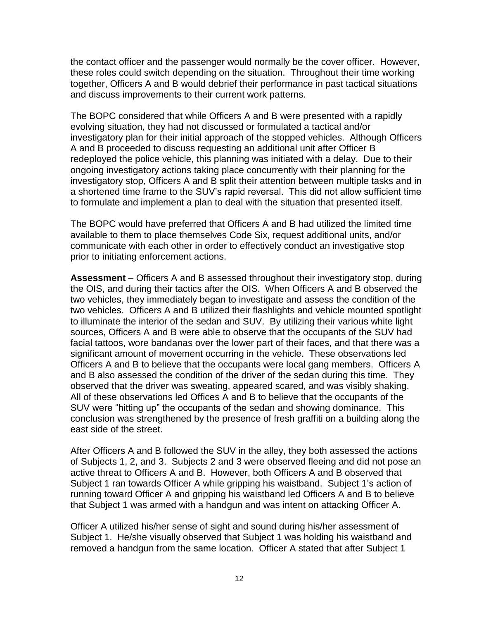the contact officer and the passenger would normally be the cover officer. However, these roles could switch depending on the situation. Throughout their time working together, Officers A and B would debrief their performance in past tactical situations and discuss improvements to their current work patterns.

The BOPC considered that while Officers A and B were presented with a rapidly evolving situation, they had not discussed or formulated a tactical and/or investigatory plan for their initial approach of the stopped vehicles. Although Officers A and B proceeded to discuss requesting an additional unit after Officer B redeployed the police vehicle, this planning was initiated with a delay. Due to their ongoing investigatory actions taking place concurrently with their planning for the investigatory stop, Officers A and B split their attention between multiple tasks and in a shortened time frame to the SUV's rapid reversal. This did not allow sufficient time to formulate and implement a plan to deal with the situation that presented itself.

The BOPC would have preferred that Officers A and B had utilized the limited time available to them to place themselves Code Six, request additional units, and/or communicate with each other in order to effectively conduct an investigative stop prior to initiating enforcement actions.

**Assessment** – Officers A and B assessed throughout their investigatory stop, during the OIS, and during their tactics after the OIS. When Officers A and B observed the two vehicles, they immediately began to investigate and assess the condition of the two vehicles. Officers A and B utilized their flashlights and vehicle mounted spotlight to illuminate the interior of the sedan and SUV. By utilizing their various white light sources, Officers A and B were able to observe that the occupants of the SUV had facial tattoos, wore bandanas over the lower part of their faces, and that there was a significant amount of movement occurring in the vehicle. These observations led Officers A and B to believe that the occupants were local gang members. Officers A and B also assessed the condition of the driver of the sedan during this time. They observed that the driver was sweating, appeared scared, and was visibly shaking. All of these observations led Offices A and B to believe that the occupants of the SUV were "hitting up" the occupants of the sedan and showing dominance. This conclusion was strengthened by the presence of fresh graffiti on a building along the east side of the street.

After Officers A and B followed the SUV in the alley, they both assessed the actions of Subjects 1, 2, and 3. Subjects 2 and 3 were observed fleeing and did not pose an active threat to Officers A and B. However, both Officers A and B observed that Subject 1 ran towards Officer A while gripping his waistband. Subject 1's action of running toward Officer A and gripping his waistband led Officers A and B to believe that Subject 1 was armed with a handgun and was intent on attacking Officer A.

Officer A utilized his/her sense of sight and sound during his/her assessment of Subject 1. He/she visually observed that Subject 1 was holding his waistband and removed a handgun from the same location. Officer A stated that after Subject 1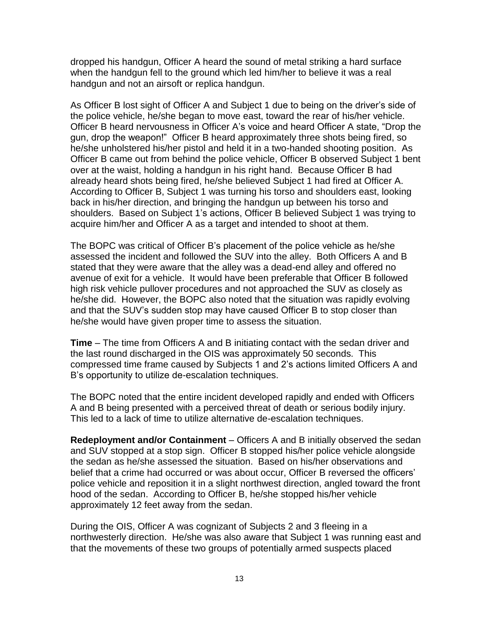dropped his handgun, Officer A heard the sound of metal striking a hard surface when the handgun fell to the ground which led him/her to believe it was a real handgun and not an airsoft or replica handgun.

As Officer B lost sight of Officer A and Subject 1 due to being on the driver's side of the police vehicle, he/she began to move east, toward the rear of his/her vehicle. Officer B heard nervousness in Officer A's voice and heard Officer A state, "Drop the gun, drop the weapon!" Officer B heard approximately three shots being fired, so he/she unholstered his/her pistol and held it in a two-handed shooting position. As Officer B came out from behind the police vehicle, Officer B observed Subject 1 bent over at the waist, holding a handgun in his right hand. Because Officer B had already heard shots being fired, he/she believed Subject 1 had fired at Officer A. According to Officer B, Subject 1 was turning his torso and shoulders east, looking back in his/her direction, and bringing the handgun up between his torso and shoulders. Based on Subject 1's actions, Officer B believed Subject 1 was trying to acquire him/her and Officer A as a target and intended to shoot at them.

The BOPC was critical of Officer B's placement of the police vehicle as he/she assessed the incident and followed the SUV into the alley. Both Officers A and B stated that they were aware that the alley was a dead-end alley and offered no avenue of exit for a vehicle. It would have been preferable that Officer B followed high risk vehicle pullover procedures and not approached the SUV as closely as he/she did. However, the BOPC also noted that the situation was rapidly evolving and that the SUV's sudden stop may have caused Officer B to stop closer than he/she would have given proper time to assess the situation.

**Time** – The time from Officers A and B initiating contact with the sedan driver and the last round discharged in the OIS was approximately 50 seconds. This compressed time frame caused by Subjects 1 and 2's actions limited Officers A and B's opportunity to utilize de-escalation techniques.

The BOPC noted that the entire incident developed rapidly and ended with Officers A and B being presented with a perceived threat of death or serious bodily injury. This led to a lack of time to utilize alternative de-escalation techniques.

**Redeployment and/or Containment** – Officers A and B initially observed the sedan and SUV stopped at a stop sign. Officer B stopped his/her police vehicle alongside the sedan as he/she assessed the situation. Based on his/her observations and belief that a crime had occurred or was about occur, Officer B reversed the officers' police vehicle and reposition it in a slight northwest direction, angled toward the front hood of the sedan. According to Officer B, he/she stopped his/her vehicle approximately 12 feet away from the sedan.

During the OIS, Officer A was cognizant of Subjects 2 and 3 fleeing in a northwesterly direction. He/she was also aware that Subject 1 was running east and that the movements of these two groups of potentially armed suspects placed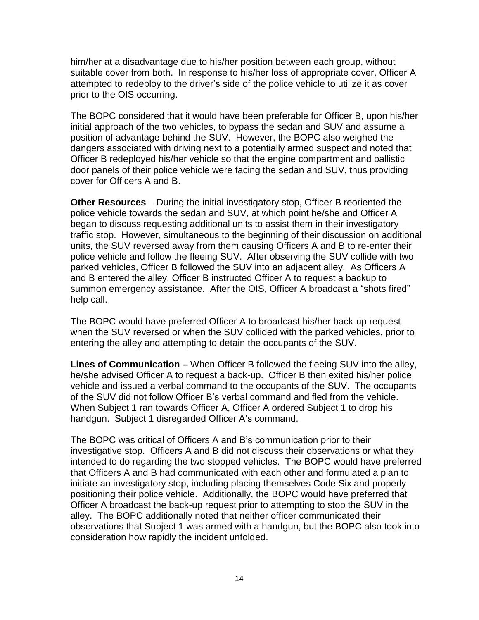him/her at a disadvantage due to his/her position between each group, without suitable cover from both. In response to his/her loss of appropriate cover, Officer A attempted to redeploy to the driver's side of the police vehicle to utilize it as cover prior to the OIS occurring.

The BOPC considered that it would have been preferable for Officer B, upon his/her initial approach of the two vehicles, to bypass the sedan and SUV and assume a position of advantage behind the SUV. However, the BOPC also weighed the dangers associated with driving next to a potentially armed suspect and noted that Officer B redeployed his/her vehicle so that the engine compartment and ballistic door panels of their police vehicle were facing the sedan and SUV, thus providing cover for Officers A and B.

**Other Resources** – During the initial investigatory stop, Officer B reoriented the police vehicle towards the sedan and SUV, at which point he/she and Officer A began to discuss requesting additional units to assist them in their investigatory traffic stop. However, simultaneous to the beginning of their discussion on additional units, the SUV reversed away from them causing Officers A and B to re-enter their police vehicle and follow the fleeing SUV. After observing the SUV collide with two parked vehicles, Officer B followed the SUV into an adjacent alley. As Officers A and B entered the alley, Officer B instructed Officer A to request a backup to summon emergency assistance. After the OIS, Officer A broadcast a "shots fired" help call.

The BOPC would have preferred Officer A to broadcast his/her back-up request when the SUV reversed or when the SUV collided with the parked vehicles, prior to entering the alley and attempting to detain the occupants of the SUV.

**Lines of Communication –** When Officer B followed the fleeing SUV into the alley, he/she advised Officer A to request a back-up. Officer B then exited his/her police vehicle and issued a verbal command to the occupants of the SUV. The occupants of the SUV did not follow Officer B's verbal command and fled from the vehicle. When Subject 1 ran towards Officer A, Officer A ordered Subject 1 to drop his handgun. Subject 1 disregarded Officer A's command.

The BOPC was critical of Officers A and B's communication prior to their investigative stop. Officers A and B did not discuss their observations or what they intended to do regarding the two stopped vehicles. The BOPC would have preferred that Officers A and B had communicated with each other and formulated a plan to initiate an investigatory stop, including placing themselves Code Six and properly positioning their police vehicle. Additionally, the BOPC would have preferred that Officer A broadcast the back-up request prior to attempting to stop the SUV in the alley. The BOPC additionally noted that neither officer communicated their observations that Subject 1 was armed with a handgun, but the BOPC also took into consideration how rapidly the incident unfolded.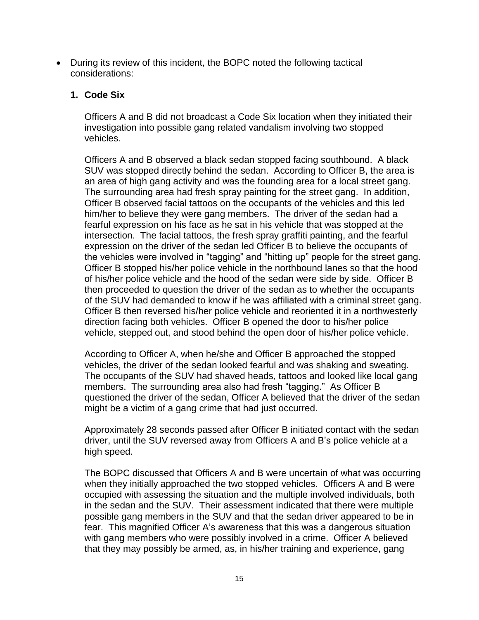• During its review of this incident, the BOPC noted the following tactical considerations:

# **1. Code Six**

Officers A and B did not broadcast a Code Six location when they initiated their investigation into possible gang related vandalism involving two stopped vehicles.

Officers A and B observed a black sedan stopped facing southbound. A black SUV was stopped directly behind the sedan. According to Officer B, the area is an area of high gang activity and was the founding area for a local street gang. The surrounding area had fresh spray painting for the street gang. In addition, Officer B observed facial tattoos on the occupants of the vehicles and this led him/her to believe they were gang members. The driver of the sedan had a fearful expression on his face as he sat in his vehicle that was stopped at the intersection. The facial tattoos, the fresh spray graffiti painting, and the fearful expression on the driver of the sedan led Officer B to believe the occupants of the vehicles were involved in "tagging" and "hitting up" people for the street gang. Officer B stopped his/her police vehicle in the northbound lanes so that the hood of his/her police vehicle and the hood of the sedan were side by side. Officer B then proceeded to question the driver of the sedan as to whether the occupants of the SUV had demanded to know if he was affiliated with a criminal street gang. Officer B then reversed his/her police vehicle and reoriented it in a northwesterly direction facing both vehicles. Officer B opened the door to his/her police vehicle, stepped out, and stood behind the open door of his/her police vehicle.

According to Officer A, when he/she and Officer B approached the stopped vehicles, the driver of the sedan looked fearful and was shaking and sweating. The occupants of the SUV had shaved heads, tattoos and looked like local gang members. The surrounding area also had fresh "tagging." As Officer B questioned the driver of the sedan, Officer A believed that the driver of the sedan might be a victim of a gang crime that had just occurred.

Approximately 28 seconds passed after Officer B initiated contact with the sedan driver, until the SUV reversed away from Officers A and B's police vehicle at a high speed.

The BOPC discussed that Officers A and B were uncertain of what was occurring when they initially approached the two stopped vehicles. Officers A and B were occupied with assessing the situation and the multiple involved individuals, both in the sedan and the SUV. Their assessment indicated that there were multiple possible gang members in the SUV and that the sedan driver appeared to be in fear. This magnified Officer A's awareness that this was a dangerous situation with gang members who were possibly involved in a crime. Officer A believed that they may possibly be armed, as, in his/her training and experience, gang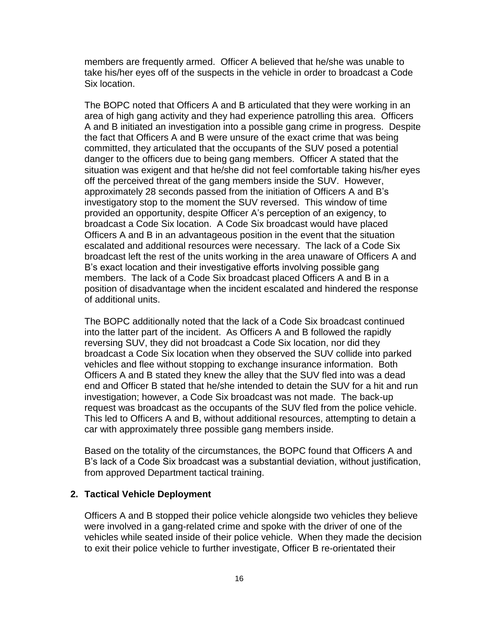members are frequently armed. Officer A believed that he/she was unable to take his/her eyes off of the suspects in the vehicle in order to broadcast a Code Six location.

The BOPC noted that Officers A and B articulated that they were working in an area of high gang activity and they had experience patrolling this area. Officers A and B initiated an investigation into a possible gang crime in progress. Despite the fact that Officers A and B were unsure of the exact crime that was being committed, they articulated that the occupants of the SUV posed a potential danger to the officers due to being gang members. Officer A stated that the situation was exigent and that he/she did not feel comfortable taking his/her eyes off the perceived threat of the gang members inside the SUV. However, approximately 28 seconds passed from the initiation of Officers A and B's investigatory stop to the moment the SUV reversed. This window of time provided an opportunity, despite Officer A's perception of an exigency, to broadcast a Code Six location. A Code Six broadcast would have placed Officers A and B in an advantageous position in the event that the situation escalated and additional resources were necessary. The lack of a Code Six broadcast left the rest of the units working in the area unaware of Officers A and B's exact location and their investigative efforts involving possible gang members. The lack of a Code Six broadcast placed Officers A and B in a position of disadvantage when the incident escalated and hindered the response of additional units.

The BOPC additionally noted that the lack of a Code Six broadcast continued into the latter part of the incident. As Officers A and B followed the rapidly reversing SUV, they did not broadcast a Code Six location, nor did they broadcast a Code Six location when they observed the SUV collide into parked vehicles and flee without stopping to exchange insurance information. Both Officers A and B stated they knew the alley that the SUV fled into was a dead end and Officer B stated that he/she intended to detain the SUV for a hit and run investigation; however, a Code Six broadcast was not made. The back-up request was broadcast as the occupants of the SUV fled from the police vehicle. This led to Officers A and B, without additional resources, attempting to detain a car with approximately three possible gang members inside.

Based on the totality of the circumstances, the BOPC found that Officers A and B's lack of a Code Six broadcast was a substantial deviation, without justification, from approved Department tactical training.

#### **2. Tactical Vehicle Deployment**

Officers A and B stopped their police vehicle alongside two vehicles they believe were involved in a gang-related crime and spoke with the driver of one of the vehicles while seated inside of their police vehicle. When they made the decision to exit their police vehicle to further investigate, Officer B re-orientated their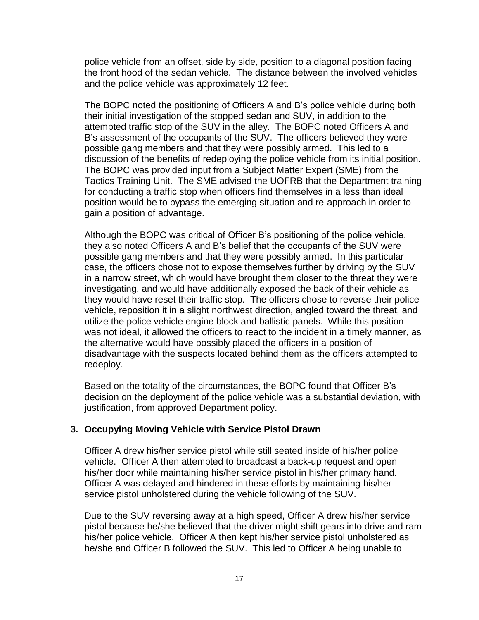police vehicle from an offset, side by side, position to a diagonal position facing the front hood of the sedan vehicle. The distance between the involved vehicles and the police vehicle was approximately 12 feet.

The BOPC noted the positioning of Officers A and B's police vehicle during both their initial investigation of the stopped sedan and SUV, in addition to the attempted traffic stop of the SUV in the alley. The BOPC noted Officers A and B's assessment of the occupants of the SUV. The officers believed they were possible gang members and that they were possibly armed. This led to a discussion of the benefits of redeploying the police vehicle from its initial position. The BOPC was provided input from a Subject Matter Expert (SME) from the Tactics Training Unit. The SME advised the UOFRB that the Department training for conducting a traffic stop when officers find themselves in a less than ideal position would be to bypass the emerging situation and re-approach in order to gain a position of advantage.

Although the BOPC was critical of Officer B's positioning of the police vehicle, they also noted Officers A and B's belief that the occupants of the SUV were possible gang members and that they were possibly armed. In this particular case, the officers chose not to expose themselves further by driving by the SUV in a narrow street, which would have brought them closer to the threat they were investigating, and would have additionally exposed the back of their vehicle as they would have reset their traffic stop. The officers chose to reverse their police vehicle, reposition it in a slight northwest direction, angled toward the threat, and utilize the police vehicle engine block and ballistic panels. While this position was not ideal, it allowed the officers to react to the incident in a timely manner, as the alternative would have possibly placed the officers in a position of disadvantage with the suspects located behind them as the officers attempted to redeploy.

Based on the totality of the circumstances, the BOPC found that Officer B's decision on the deployment of the police vehicle was a substantial deviation, with justification, from approved Department policy.

#### **3. Occupying Moving Vehicle with Service Pistol Drawn**

Officer A drew his/her service pistol while still seated inside of his/her police vehicle. Officer A then attempted to broadcast a back-up request and open his/her door while maintaining his/her service pistol in his/her primary hand. Officer A was delayed and hindered in these efforts by maintaining his/her service pistol unholstered during the vehicle following of the SUV.

Due to the SUV reversing away at a high speed, Officer A drew his/her service pistol because he/she believed that the driver might shift gears into drive and ram his/her police vehicle. Officer A then kept his/her service pistol unholstered as he/she and Officer B followed the SUV. This led to Officer A being unable to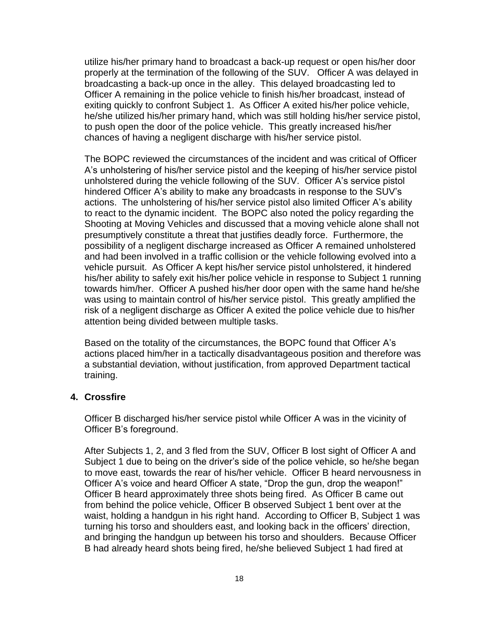utilize his/her primary hand to broadcast a back-up request or open his/her door properly at the termination of the following of the SUV. Officer A was delayed in broadcasting a back-up once in the alley. This delayed broadcasting led to Officer A remaining in the police vehicle to finish his/her broadcast, instead of exiting quickly to confront Subject 1. As Officer A exited his/her police vehicle, he/she utilized his/her primary hand, which was still holding his/her service pistol, to push open the door of the police vehicle. This greatly increased his/her chances of having a negligent discharge with his/her service pistol.

The BOPC reviewed the circumstances of the incident and was critical of Officer A's unholstering of his/her service pistol and the keeping of his/her service pistol unholstered during the vehicle following of the SUV. Officer A's service pistol hindered Officer A's ability to make any broadcasts in response to the SUV's actions. The unholstering of his/her service pistol also limited Officer A's ability to react to the dynamic incident. The BOPC also noted the policy regarding the Shooting at Moving Vehicles and discussed that a moving vehicle alone shall not presumptively constitute a threat that justifies deadly force. Furthermore, the possibility of a negligent discharge increased as Officer A remained unholstered and had been involved in a traffic collision or the vehicle following evolved into a vehicle pursuit. As Officer A kept his/her service pistol unholstered, it hindered his/her ability to safely exit his/her police vehicle in response to Subject 1 running towards him/her. Officer A pushed his/her door open with the same hand he/she was using to maintain control of his/her service pistol. This greatly amplified the risk of a negligent discharge as Officer A exited the police vehicle due to his/her attention being divided between multiple tasks.

Based on the totality of the circumstances, the BOPC found that Officer A's actions placed him/her in a tactically disadvantageous position and therefore was a substantial deviation, without justification, from approved Department tactical training.

#### **4. Crossfire**

Officer B discharged his/her service pistol while Officer A was in the vicinity of Officer B's foreground.

After Subjects 1, 2, and 3 fled from the SUV, Officer B lost sight of Officer A and Subject 1 due to being on the driver's side of the police vehicle, so he/she began to move east, towards the rear of his/her vehicle. Officer B heard nervousness in Officer A's voice and heard Officer A state, "Drop the gun, drop the weapon!" Officer B heard approximately three shots being fired. As Officer B came out from behind the police vehicle, Officer B observed Subject 1 bent over at the waist, holding a handgun in his right hand. According to Officer B, Subject 1 was turning his torso and shoulders east, and looking back in the officers' direction, and bringing the handgun up between his torso and shoulders. Because Officer B had already heard shots being fired, he/she believed Subject 1 had fired at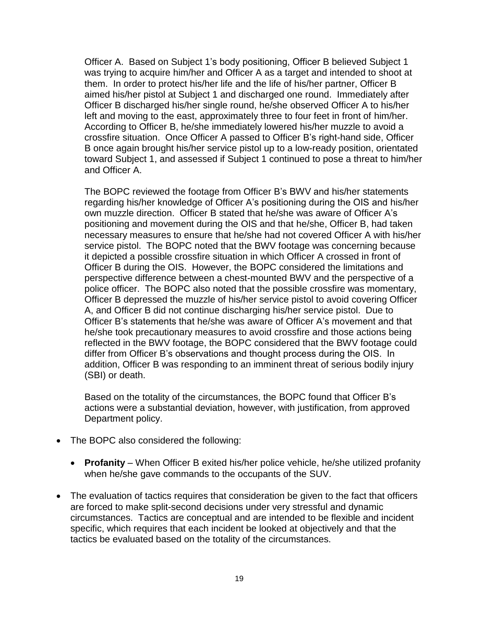Officer A. Based on Subject 1's body positioning, Officer B believed Subject 1 was trying to acquire him/her and Officer A as a target and intended to shoot at them. In order to protect his/her life and the life of his/her partner, Officer B aimed his/her pistol at Subject 1 and discharged one round. Immediately after Officer B discharged his/her single round, he/she observed Officer A to his/her left and moving to the east, approximately three to four feet in front of him/her. According to Officer B, he/she immediately lowered his/her muzzle to avoid a crossfire situation. Once Officer A passed to Officer B's right-hand side, Officer B once again brought his/her service pistol up to a low-ready position, orientated toward Subject 1, and assessed if Subject 1 continued to pose a threat to him/her and Officer A.

The BOPC reviewed the footage from Officer B's BWV and his/her statements regarding his/her knowledge of Officer A's positioning during the OIS and his/her own muzzle direction. Officer B stated that he/she was aware of Officer A's positioning and movement during the OIS and that he/she, Officer B, had taken necessary measures to ensure that he/she had not covered Officer A with his/her service pistol. The BOPC noted that the BWV footage was concerning because it depicted a possible crossfire situation in which Officer A crossed in front of Officer B during the OIS. However, the BOPC considered the limitations and perspective difference between a chest-mounted BWV and the perspective of a police officer. The BOPC also noted that the possible crossfire was momentary, Officer B depressed the muzzle of his/her service pistol to avoid covering Officer A, and Officer B did not continue discharging his/her service pistol. Due to Officer B's statements that he/she was aware of Officer A's movement and that he/she took precautionary measures to avoid crossfire and those actions being reflected in the BWV footage, the BOPC considered that the BWV footage could differ from Officer B's observations and thought process during the OIS. In addition, Officer B was responding to an imminent threat of serious bodily injury (SBI) or death.

Based on the totality of the circumstances, the BOPC found that Officer B's actions were a substantial deviation, however, with justification, from approved Department policy.

- The BOPC also considered the following:
	- **Profanity** When Officer B exited his/her police vehicle, he/she utilized profanity when he/she gave commands to the occupants of the SUV.
- The evaluation of tactics requires that consideration be given to the fact that officers are forced to make split-second decisions under very stressful and dynamic circumstances. Tactics are conceptual and are intended to be flexible and incident specific, which requires that each incident be looked at objectively and that the tactics be evaluated based on the totality of the circumstances.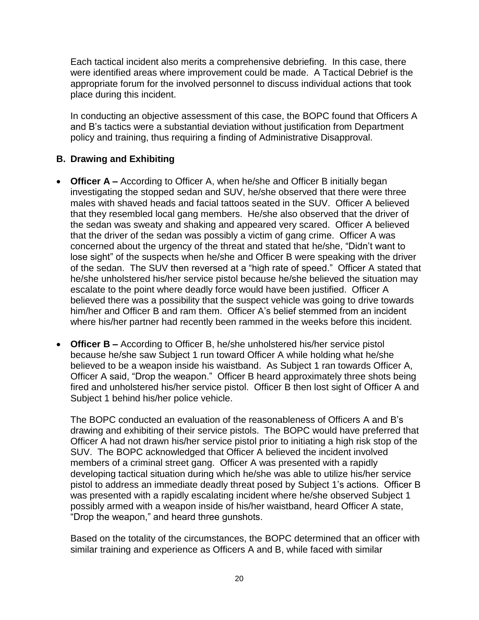Each tactical incident also merits a comprehensive debriefing. In this case, there were identified areas where improvement could be made. A Tactical Debrief is the appropriate forum for the involved personnel to discuss individual actions that took place during this incident.

In conducting an objective assessment of this case, the BOPC found that Officers A and B's tactics were a substantial deviation without justification from Department policy and training, thus requiring a finding of Administrative Disapproval.

# **B. Drawing and Exhibiting**

- **Officer A** According to Officer A, when he/she and Officer B initially began investigating the stopped sedan and SUV, he/she observed that there were three males with shaved heads and facial tattoos seated in the SUV. Officer A believed that they resembled local gang members. He/she also observed that the driver of the sedan was sweaty and shaking and appeared very scared. Officer A believed that the driver of the sedan was possibly a victim of gang crime. Officer A was concerned about the urgency of the threat and stated that he/she, "Didn't want to lose sight" of the suspects when he/she and Officer B were speaking with the driver of the sedan. The SUV then reversed at a "high rate of speed." Officer A stated that he/she unholstered his/her service pistol because he/she believed the situation may escalate to the point where deadly force would have been justified. Officer A believed there was a possibility that the suspect vehicle was going to drive towards him/her and Officer B and ram them. Officer A's belief stemmed from an incident where his/her partner had recently been rammed in the weeks before this incident.
- **Officer B –** According to Officer B, he/she unholstered his/her service pistol because he/she saw Subject 1 run toward Officer A while holding what he/she believed to be a weapon inside his waistband. As Subject 1 ran towards Officer A, Officer A said, "Drop the weapon." Officer B heard approximately three shots being fired and unholstered his/her service pistol. Officer B then lost sight of Officer A and Subject 1 behind his/her police vehicle.

The BOPC conducted an evaluation of the reasonableness of Officers A and B's drawing and exhibiting of their service pistols. The BOPC would have preferred that Officer A had not drawn his/her service pistol prior to initiating a high risk stop of the SUV. The BOPC acknowledged that Officer A believed the incident involved members of a criminal street gang. Officer A was presented with a rapidly developing tactical situation during which he/she was able to utilize his/her service pistol to address an immediate deadly threat posed by Subject 1's actions. Officer B was presented with a rapidly escalating incident where he/she observed Subject 1 possibly armed with a weapon inside of his/her waistband, heard Officer A state, "Drop the weapon," and heard three gunshots.

Based on the totality of the circumstances, the BOPC determined that an officer with similar training and experience as Officers A and B, while faced with similar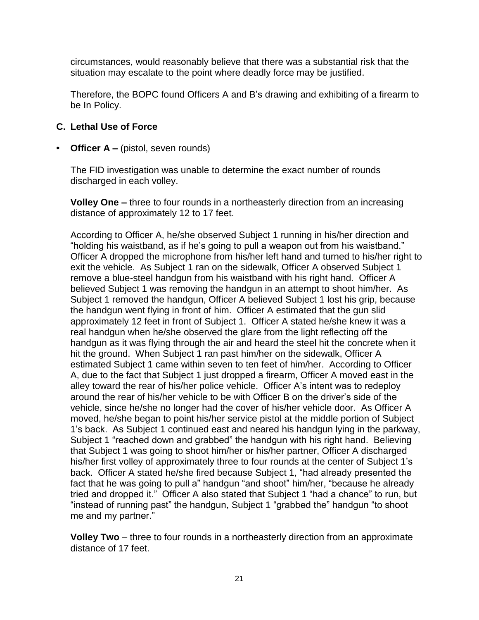circumstances, would reasonably believe that there was a substantial risk that the situation may escalate to the point where deadly force may be justified.

Therefore, the BOPC found Officers A and B's drawing and exhibiting of a firearm to be In Policy.

### **C. Lethal Use of Force**

**• Officer A –** (pistol, seven rounds)

The FID investigation was unable to determine the exact number of rounds discharged in each volley.

**Volley One –** three to four rounds in a northeasterly direction from an increasing distance of approximately 12 to 17 feet.

According to Officer A, he/she observed Subject 1 running in his/her direction and "holding his waistband, as if he's going to pull a weapon out from his waistband." Officer A dropped the microphone from his/her left hand and turned to his/her right to exit the vehicle. As Subject 1 ran on the sidewalk, Officer A observed Subject 1 remove a blue-steel handgun from his waistband with his right hand. Officer A believed Subject 1 was removing the handgun in an attempt to shoot him/her. As Subject 1 removed the handgun, Officer A believed Subject 1 lost his grip, because the handgun went flying in front of him. Officer A estimated that the gun slid approximately 12 feet in front of Subject 1. Officer A stated he/she knew it was a real handgun when he/she observed the glare from the light reflecting off the handgun as it was flying through the air and heard the steel hit the concrete when it hit the ground. When Subject 1 ran past him/her on the sidewalk, Officer A estimated Subject 1 came within seven to ten feet of him/her. According to Officer A, due to the fact that Subject 1 just dropped a firearm, Officer A moved east in the alley toward the rear of his/her police vehicle. Officer A's intent was to redeploy around the rear of his/her vehicle to be with Officer B on the driver's side of the vehicle, since he/she no longer had the cover of his/her vehicle door. As Officer A moved, he/she began to point his/her service pistol at the middle portion of Subject 1's back. As Subject 1 continued east and neared his handgun lying in the parkway, Subject 1 "reached down and grabbed" the handgun with his right hand. Believing that Subject 1 was going to shoot him/her or his/her partner, Officer A discharged his/her first volley of approximately three to four rounds at the center of Subject 1's back. Officer A stated he/she fired because Subject 1, "had already presented the fact that he was going to pull a" handgun "and shoot" him/her, "because he already tried and dropped it." Officer A also stated that Subject 1 "had a chance" to run, but "instead of running past" the handgun, Subject 1 "grabbed the" handgun "to shoot me and my partner."

**Volley Two** – three to four rounds in a northeasterly direction from an approximate distance of 17 feet.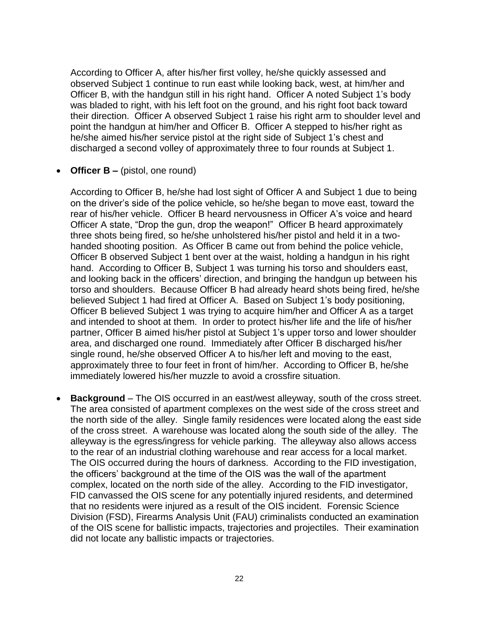According to Officer A, after his/her first volley, he/she quickly assessed and observed Subject 1 continue to run east while looking back, west, at him/her and Officer B, with the handgun still in his right hand. Officer A noted Subject 1's body was bladed to right, with his left foot on the ground, and his right foot back toward their direction. Officer A observed Subject 1 raise his right arm to shoulder level and point the handgun at him/her and Officer B. Officer A stepped to his/her right as he/she aimed his/her service pistol at the right side of Subject 1's chest and discharged a second volley of approximately three to four rounds at Subject 1.

• **Officer B –** (pistol, one round)

According to Officer B, he/she had lost sight of Officer A and Subject 1 due to being on the driver's side of the police vehicle, so he/she began to move east, toward the rear of his/her vehicle. Officer B heard nervousness in Officer A's voice and heard Officer A state, "Drop the gun, drop the weapon!" Officer B heard approximately three shots being fired, so he/she unholstered his/her pistol and held it in a twohanded shooting position. As Officer B came out from behind the police vehicle, Officer B observed Subject 1 bent over at the waist, holding a handgun in his right hand. According to Officer B, Subject 1 was turning his torso and shoulders east, and looking back in the officers' direction, and bringing the handgun up between his torso and shoulders. Because Officer B had already heard shots being fired, he/she believed Subject 1 had fired at Officer A. Based on Subject 1's body positioning, Officer B believed Subject 1 was trying to acquire him/her and Officer A as a target and intended to shoot at them. In order to protect his/her life and the life of his/her partner, Officer B aimed his/her pistol at Subject 1's upper torso and lower shoulder area, and discharged one round. Immediately after Officer B discharged his/her single round, he/she observed Officer A to his/her left and moving to the east, approximately three to four feet in front of him/her. According to Officer B, he/she immediately lowered his/her muzzle to avoid a crossfire situation.

• **Background** – The OIS occurred in an east/west alleyway, south of the cross street. The area consisted of apartment complexes on the west side of the cross street and the north side of the alley. Single family residences were located along the east side of the cross street. A warehouse was located along the south side of the alley. The alleyway is the egress/ingress for vehicle parking. The alleyway also allows access to the rear of an industrial clothing warehouse and rear access for a local market. The OIS occurred during the hours of darkness. According to the FID investigation, the officers' background at the time of the OIS was the wall of the apartment complex, located on the north side of the alley. According to the FID investigator, FID canvassed the OIS scene for any potentially injured residents, and determined that no residents were injured as a result of the OIS incident. Forensic Science Division (FSD), Firearms Analysis Unit (FAU) criminalists conducted an examination of the OIS scene for ballistic impacts, trajectories and projectiles. Their examination did not locate any ballistic impacts or trajectories.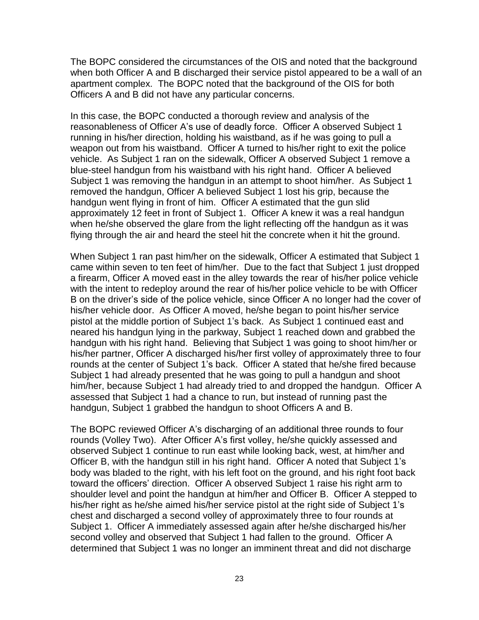The BOPC considered the circumstances of the OIS and noted that the background when both Officer A and B discharged their service pistol appeared to be a wall of an apartment complex. The BOPC noted that the background of the OIS for both Officers A and B did not have any particular concerns.

In this case, the BOPC conducted a thorough review and analysis of the reasonableness of Officer A's use of deadly force. Officer A observed Subject 1 running in his/her direction, holding his waistband, as if he was going to pull a weapon out from his waistband. Officer A turned to his/her right to exit the police vehicle. As Subject 1 ran on the sidewalk, Officer A observed Subject 1 remove a blue-steel handgun from his waistband with his right hand. Officer A believed Subject 1 was removing the handgun in an attempt to shoot him/her. As Subject 1 removed the handgun, Officer A believed Subject 1 lost his grip, because the handgun went flying in front of him. Officer A estimated that the gun slid approximately 12 feet in front of Subject 1. Officer A knew it was a real handgun when he/she observed the glare from the light reflecting off the handgun as it was flying through the air and heard the steel hit the concrete when it hit the ground.

When Subject 1 ran past him/her on the sidewalk, Officer A estimated that Subject 1 came within seven to ten feet of him/her. Due to the fact that Subject 1 just dropped a firearm, Officer A moved east in the alley towards the rear of his/her police vehicle with the intent to redeploy around the rear of his/her police vehicle to be with Officer B on the driver's side of the police vehicle, since Officer A no longer had the cover of his/her vehicle door. As Officer A moved, he/she began to point his/her service pistol at the middle portion of Subject 1's back. As Subject 1 continued east and neared his handgun lying in the parkway, Subject 1 reached down and grabbed the handgun with his right hand. Believing that Subject 1 was going to shoot him/her or his/her partner, Officer A discharged his/her first volley of approximately three to four rounds at the center of Subject 1's back. Officer A stated that he/she fired because Subject 1 had already presented that he was going to pull a handgun and shoot him/her, because Subject 1 had already tried to and dropped the handgun. Officer A assessed that Subject 1 had a chance to run, but instead of running past the handgun, Subject 1 grabbed the handgun to shoot Officers A and B.

The BOPC reviewed Officer A's discharging of an additional three rounds to four rounds (Volley Two). After Officer A's first volley, he/she quickly assessed and observed Subject 1 continue to run east while looking back, west, at him/her and Officer B, with the handgun still in his right hand. Officer A noted that Subject 1's body was bladed to the right, with his left foot on the ground, and his right foot back toward the officers' direction. Officer A observed Subject 1 raise his right arm to shoulder level and point the handgun at him/her and Officer B. Officer A stepped to his/her right as he/she aimed his/her service pistol at the right side of Subject 1's chest and discharged a second volley of approximately three to four rounds at Subject 1. Officer A immediately assessed again after he/she discharged his/her second volley and observed that Subject 1 had fallen to the ground. Officer A determined that Subject 1 was no longer an imminent threat and did not discharge